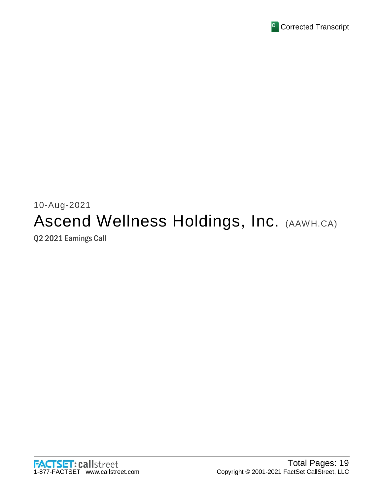

# 10-Aug-2021 Ascend Wellness Holdings, Inc. (AAWH.CA) Q2 2021 Earnings Call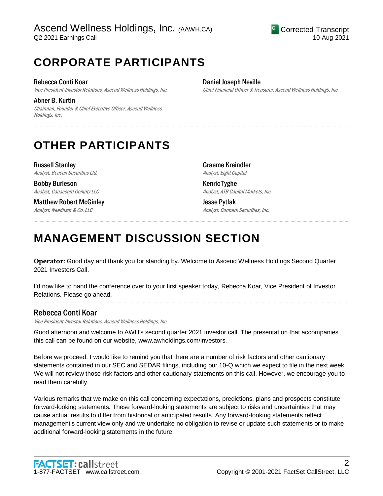# **CORPORATE PARTICIPANTS**

#### Rebecca Conti Koar

Vice President-Investor Relations, Ascend Wellness Holdings, Inc.

Abner B. Kurtin

Chairman, Founder & Chief Executive Officer, Ascend Wellness Holdings, Inc.

#### Daniel Joseph Neville

Chief Financial Officer & Treasurer, Ascend Wellness Holdings, Inc.

# **OTHER PARTICIPANTS**

Russell Stanley Analyst, Beacon Securities Ltd.

Bobby Burleson Analyst, Canaccord Genuity LLC

Matthew Robert McGinley Analyst, Needham & Co. LLC

Graeme Kreindler Analyst, Eight Capital

Kenric Tyghe Analyst, ATB Capital Markets, Inc.

Jesse Pytlak Analyst, Cormark Securities, Inc.

# **MANAGEMENT DISCUSSION SECTION**

**Operator**: Good day and thank you for standing by. Welcome to Ascend Wellness Holdings Second Quarter 2021 Investors Call.

.....................................................................................................................................................................................................................................................................

.....................................................................................................................................................................................................................................................................

I'd now like to hand the conference over to your first speaker today, Rebecca Koar, Vice President of Investor Relations. Please go ahead.

.....................................................................................................................................................................................................................................................................

### Rebecca Conti Koar

Vice President-Investor Relations, Ascend Wellness Holdings, Inc.

Good afternoon and welcome to AWH's second quarter 2021 investor call. The presentation that accompanies this call can be found on our website, www.awholdings.com/investors.

Before we proceed, I would like to remind you that there are a number of risk factors and other cautionary statements contained in our SEC and SEDAR filings, including our 10-Q which we expect to file in the next week. We will not review those risk factors and other cautionary statements on this call. However, we encourage you to read them carefully.

Various remarks that we make on this call concerning expectations, predictions, plans and prospects constitute forward-looking statements. These forward-looking statements are subject to risks and uncertainties that may cause actual results to differ from historical or anticipated results. Any forward-looking statements reflect management's current view only and we undertake no obligation to revise or update such statements or to make additional forward-looking statements in the future.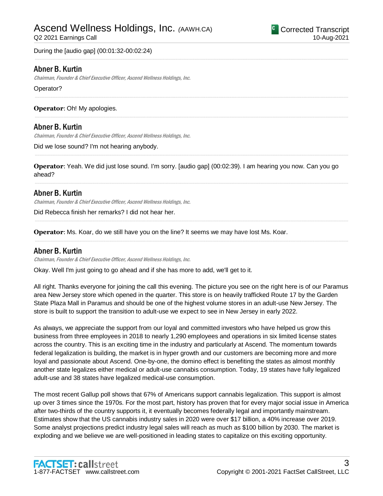During the [audio gap] (00:01:32-00:02:24)

### Abner B. Kurtin

Chairman, Founder & Chief Executive Officer, Ascend Wellness Holdings, Inc.

Operator?

**Operator**: Oh! My apologies.

### Abner B. Kurtin

Chairman, Founder & Chief Executive Officer, Ascend Wellness Holdings, Inc.

Did we lose sound? I'm not hearing anybody.

**Operator**: Yeah. We did just lose sound. I'm sorry. [audio gap] (00:02:39). I am hearing you now. Can you go ahead?

.....................................................................................................................................................................................................................................................................

.....................................................................................................................................................................................................................................................................

.....................................................................................................................................................................................................................................................................

.....................................................................................................................................................................................................................................................................

.....................................................................................................................................................................................................................................................................

.....................................................................................................................................................................................................................................................................

.....................................................................................................................................................................................................................................................................

#### Abner B. Kurtin

Chairman, Founder & Chief Executive Officer, Ascend Wellness Holdings, Inc.

Did Rebecca finish her remarks? I did not hear her.

**Operator**: Ms. Koar, do we still have you on the line? It seems we may have lost Ms. Koar.

#### Abner B. Kurtin

Chairman, Founder & Chief Executive Officer, Ascend Wellness Holdings, Inc.

Okay. Well I'm just going to go ahead and if she has more to add, we'll get to it.

All right. Thanks everyone for joining the call this evening. The picture you see on the right here is of our Paramus area New Jersey store which opened in the quarter. This store is on heavily trafficked Route 17 by the Garden State Plaza Mall in Paramus and should be one of the highest volume stores in an adult-use New Jersey. The store is built to support the transition to adult-use we expect to see in New Jersey in early 2022.

As always, we appreciate the support from our loyal and committed investors who have helped us grow this business from three employees in 2018 to nearly 1,290 employees and operations in six limited license states across the country. This is an exciting time in the industry and particularly at Ascend. The momentum towards federal legalization is building, the market is in hyper growth and our customers are becoming more and more loyal and passionate about Ascend. One-by-one, the domino effect is benefiting the states as almost monthly another state legalizes either medical or adult-use cannabis consumption. Today, 19 states have fully legalized adult-use and 38 states have legalized medical-use consumption.

The most recent Gallup poll shows that 67% of Americans support cannabis legalization. This support is almost up over 3 times since the 1970s. For the most part, history has proven that for every major social issue in America after two-thirds of the country supports it, it eventually becomes federally legal and importantly mainstream. Estimates show that the US cannabis industry sales in 2020 were over \$17 billion, a 40% increase over 2019. Some analyst projections predict industry legal sales will reach as much as \$100 billion by 2030. The market is exploding and we believe we are well-positioned in leading states to capitalize on this exciting opportunity.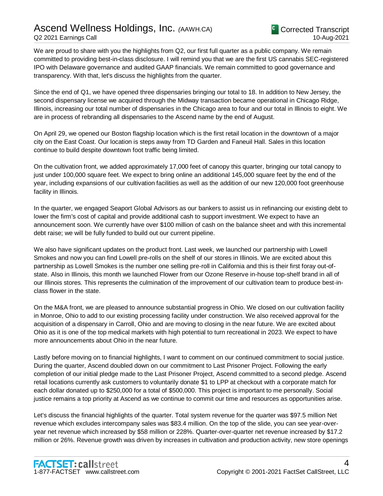We are proud to share with you the highlights from Q2, our first full quarter as a public company. We remain committed to providing best-in-class disclosure. I will remind you that we are the first US cannabis SEC-registered IPO with Delaware governance and audited GAAP financials. We remain committed to good governance and transparency. With that, let's discuss the highlights from the quarter.

Since the end of Q1, we have opened three dispensaries bringing our total to 18. In addition to New Jersey, the second dispensary license we acquired through the Midway transaction became operational in Chicago Ridge, Illinois, increasing our total number of dispensaries in the Chicago area to four and our total in Illinois to eight. We are in process of rebranding all dispensaries to the Ascend name by the end of August.

On April 29, we opened our Boston flagship location which is the first retail location in the downtown of a major city on the East Coast. Our location is steps away from TD Garden and Faneuil Hall. Sales in this location continue to build despite downtown foot traffic being limited.

On the cultivation front, we added approximately 17,000 feet of canopy this quarter, bringing our total canopy to just under 100,000 square feet. We expect to bring online an additional 145,000 square feet by the end of the year, including expansions of our cultivation facilities as well as the addition of our new 120,000 foot greenhouse facility in Illinois.

In the quarter, we engaged Seaport Global Advisors as our bankers to assist us in refinancing our existing debt to lower the firm's cost of capital and provide additional cash to support investment. We expect to have an announcement soon. We currently have over \$100 million of cash on the balance sheet and with this incremental debt raise; we will be fully funded to build out our current pipeline.

We also have significant updates on the product front. Last week, we launched our partnership with Lowell Smokes and now you can find Lowell pre-rolls on the shelf of our stores in Illinois. We are excited about this partnership as Lowell Smokes is the number one selling pre-roll in California and this is their first foray out-ofstate. Also in Illinois, this month we launched Flower from our Ozone Reserve in-house top-shelf brand in all of our Illinois stores. This represents the culmination of the improvement of our cultivation team to produce best-inclass flower in the state.

On the M&A front, we are pleased to announce substantial progress in Ohio. We closed on our cultivation facility in Monroe, Ohio to add to our existing processing facility under construction. We also received approval for the acquisition of a dispensary in Carroll, Ohio and are moving to closing in the near future. We are excited about Ohio as it is one of the top medical markets with high potential to turn recreational in 2023. We expect to have more announcements about Ohio in the near future.

Lastly before moving on to financial highlights, I want to comment on our continued commitment to social justice. During the quarter, Ascend doubled down on our commitment to Last Prisoner Project. Following the early completion of our initial pledge made to the Last Prisoner Project, Ascend committed to a second pledge. Ascend retail locations currently ask customers to voluntarily donate \$1 to LPP at checkout with a corporate match for each dollar donated up to \$250,000 for a total of \$500,000. This project is important to me personally. Social justice remains a top priority at Ascend as we continue to commit our time and resources as opportunities arise.

Let's discuss the financial highlights of the quarter. Total system revenue for the quarter was \$97.5 million Net revenue which excludes intercompany sales was \$83.4 million. On the top of the slide, you can see year-overyear net revenue which increased by \$58 million or 228%. Quarter-over-quarter net revenue increased by \$17.2 million or 26%. Revenue growth was driven by increases in cultivation and production activity, new store openings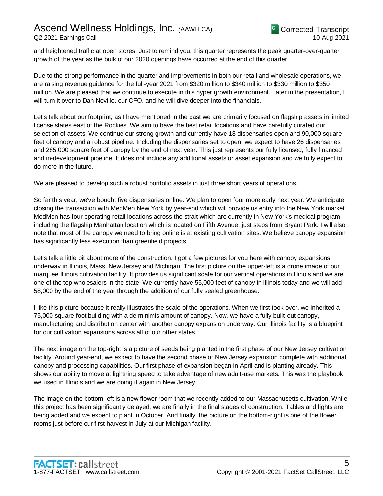and heightened traffic at open stores. Just to remind you, this quarter represents the peak quarter-over-quarter growth of the year as the bulk of our 2020 openings have occurred at the end of this quarter.

Due to the strong performance in the quarter and improvements in both our retail and wholesale operations, we are raising revenue guidance for the full-year 2021 from \$320 million to \$340 million to \$330 million to \$350 million. We are pleased that we continue to execute in this hyper growth environment. Later in the presentation, I will turn it over to Dan Neville, our CFO, and he will dive deeper into the financials.

Let's talk about our footprint, as I have mentioned in the past we are primarily focused on flagship assets in limited license states east of the Rockies. We aim to have the best retail locations and have carefully curated our selection of assets. We continue our strong growth and currently have 18 dispensaries open and 90,000 square feet of canopy and a robust pipeline. Including the dispensaries set to open, we expect to have 26 dispensaries and 285,000 square feet of canopy by the end of next year. This just represents our fully licensed, fully financed and in-development pipeline. It does not include any additional assets or asset expansion and we fully expect to do more in the future.

We are pleased to develop such a robust portfolio assets in just three short years of operations.

So far this year, we've bought five dispensaries online. We plan to open four more early next year. We anticipate closing the transaction with MedMen New York by year-end which will provide us entry into the New York market. MedMen has four operating retail locations across the strait which are currently in New York's medical program including the flagship Manhattan location which is located on Fifth Avenue, just steps from Bryant Park. I will also note that most of the canopy we need to bring online is at existing cultivation sites. We believe canopy expansion has significantly less execution than greenfield projects.

Let's talk a little bit about more of the construction. I got a few pictures for you here with canopy expansions underway in Illinois, Mass, New Jersey and Michigan. The first picture on the upper-left is a drone image of our marquee Illinois cultivation facility. It provides us significant scale for our vertical operations in Illinois and we are one of the top wholesalers in the state. We currently have 55,000 feet of canopy in Illinois today and we will add 58,000 by the end of the year through the addition of our fully sealed greenhouse.

I like this picture because it really illustrates the scale of the operations. When we first took over, we inherited a 75,000-square foot building with a de minimis amount of canopy. Now, we have a fully built-out canopy, manufacturing and distribution center with another canopy expansion underway. Our Illinois facility is a blueprint for our cultivation expansions across all of our other states.

The next image on the top-right is a picture of seeds being planted in the first phase of our New Jersey cultivation facility. Around year-end, we expect to have the second phase of New Jersey expansion complete with additional canopy and processing capabilities. Our first phase of expansion began in April and is planting already. This shows our ability to move at lightning speed to take advantage of new adult-use markets. This was the playbook we used in Illinois and we are doing it again in New Jersey.

The image on the bottom-left is a new flower room that we recently added to our Massachusetts cultivation. While this project has been significantly delayed, we are finally in the final stages of construction. Tables and lights are being added and we expect to plant in October. And finally, the picture on the bottom-right is one of the flower rooms just before our first harvest in July at our Michigan facility.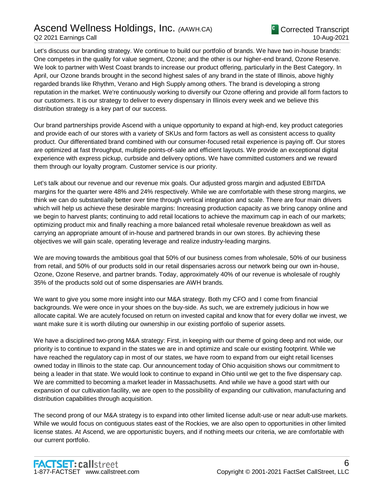### Ascend Wellness Holdings, Inc. *(*AAWH.CA) Q2 2021 Earnings Call

Let's discuss our branding strategy. We continue to build our portfolio of brands. We have two in-house brands: One competes in the quality for value segment, Ozone; and the other is our higher-end brand, Ozone Reserve. We look to partner with West Coast brands to increase our product offering, particularly in the Best Category. In April, our Ozone brands brought in the second highest sales of any brand in the state of Illinois, above highly regarded brands like Rhythm, Verano and High Supply among others. The brand is developing a strong reputation in the market. We're continuously working to diversify our Ozone offering and provide all form factors to our customers. It is our strategy to deliver to every dispensary in Illinois every week and we believe this distribution strategy is a key part of our success.

Our brand partnerships provide Ascend with a unique opportunity to expand at high-end, key product categories and provide each of our stores with a variety of SKUs and form factors as well as consistent access to quality product. Our differentiated brand combined with our consumer-focused retail experience is paying off. Our stores are optimized at fast throughput, multiple points-of-sale and efficient layouts. We provide an exceptional digital experience with express pickup, curbside and delivery options. We have committed customers and we reward them through our loyalty program. Customer service is our priority.

Let's talk about our revenue and our revenue mix goals. Our adjusted gross margin and adjusted EBITDA margins for the quarter were 48% and 24% respectively. While we are comfortable with these strong margins, we think we can do substantially better over time through vertical integration and scale. There are four main drivers which will help us achieve these desirable margins: Increasing production capacity as we bring canopy online and we begin to harvest plants; continuing to add retail locations to achieve the maximum cap in each of our markets; optimizing product mix and finally reaching a more balanced retail wholesale revenue breakdown as well as carrying an appropriate amount of in-house and partnered brands in our own stores. By achieving these objectives we will gain scale, operating leverage and realize industry-leading margins.

We are moving towards the ambitious goal that 50% of our business comes from wholesale, 50% of our business from retail, and 50% of our products sold in our retail dispensaries across our network being our own in-house, Ozone, Ozone Reserve, and partner brands. Today, approximately 40% of our revenue is wholesale of roughly 35% of the products sold out of some dispensaries are AWH brands.

We want to give you some more insight into our M&A strategy. Both my CFO and I come from financial backgrounds. We were once in your shoes on the buy-side. As such, we are extremely judicious in how we allocate capital. We are acutely focused on return on invested capital and know that for every dollar we invest, we want make sure it is worth diluting our ownership in our existing portfolio of superior assets.

We have a disciplined two-prong M&A strategy: First, in keeping with our theme of going deep and not wide, our priority is to continue to expand in the states we are in and optimize and scale our existing footprint. While we have reached the regulatory cap in most of our states, we have room to expand from our eight retail licenses owned today in Illinois to the state cap. Our announcement today of Ohio acquisition shows our commitment to being a leader in that state. We would look to continue to expand in Ohio until we get to the five dispensary cap. We are committed to becoming a market leader in Massachusetts. And while we have a good start with our expansion of our cultivation facility, we are open to the possibility of expanding our cultivation, manufacturing and distribution capabilities through acquisition.

The second prong of our M&A strategy is to expand into other limited license adult-use or near adult-use markets. While we would focus on contiguous states east of the Rockies, we are also open to opportunities in other limited license states. At Ascend, we are opportunistic buyers, and if nothing meets our criteria, we are comfortable with our current portfolio.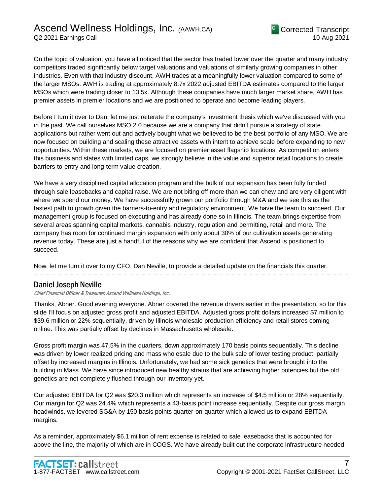On the topic of valuation, you have all noticed that the sector has traded lower over the quarter and many industry competitors traded significantly below target valuations and valuations of similarly growing companies in other industries. Even with that industry discount, AWH trades at a meaningfully lower valuation compared to some of the larger MSOs. AWH is trading at approximately 8.7x 2022 adjusted EBITDA estimates compared to the larger MSOs which were trading closer to 13.5x. Although these companies have much larger market share, AWH has premier assets in premier locations and we are positioned to operate and become leading players.

Before I turn it over to Dan, let me just reiterate the company's investment thesis which we've discussed with you in the past. We call ourselves MSO 2.0 because we are a company that didn't pursue a strategy of state applications but rather went out and actively bought what we believed to be the best portfolio of any MSO. We are now focused on building and scaling these attractive assets with intent to achieve scale before expanding to new opportunities. Within these markets, we are focused on premier asset flagship locations. As competition enters this business and states with limited caps, we strongly believe in the value and superior retail locations to create barriers-to-entry and long-term value creation.

We have a very disciplined capital allocation program and the bulk of our expansion has been fully funded through sale leasebacks and capital raise. We are not biting off more than we can chew and are very diligent with where we spend our money. We have successfully grown our portfolio through M&A and we see this as the fastest path to growth given the barriers-to-entry and regulatory environment. We have the team to succeed. Our management group is focused on executing and has already done so in Illinois. The team brings expertise from several areas spanning capital markets, cannabis industry, regulation and permitting, retail and more. The company has room for continued margin expansion with only about 30% of our cultivation assets generating revenue today. These are just a handful of the reasons why we are confident that Ascend is positioned to succeed.

Now, let me turn it over to my CFO, Dan Neville, to provide a detailed update on the financials this quarter.

### Daniel Joseph Neville

Chief Financial Officer & Treasurer, Ascend Wellness Holdings, Inc.

Thanks, Abner. Good evening everyone. Abner covered the revenue drivers earlier in the presentation, so for this slide I'll focus on adjusted gross profit and adjusted EBITDA. Adjusted gross profit dollars increased \$7 million to \$39.6 million or 22% sequentially, driven by Illinois wholesale production efficiency and retail stores coming online. This was partially offset by declines in Massachusetts wholesale.

.....................................................................................................................................................................................................................................................................

Gross profit margin was 47.5% in the quarters, down approximately 170 basis points sequentially. This decline was driven by lower realized pricing and mass wholesale due to the bulk sale of lower testing product, partially offset by increased margins in Illinois. Unfortunately, we had some sick genetics that were brought into the building in Mass. We have since introduced new healthy strains that are achieving higher potencies but the old genetics are not completely flushed through our inventory yet.

Our adjusted EBITDA for Q2 was \$20.3 million which represents an increase of \$4.5 million or 28% sequentially. Our margin for Q2 was 24.4% which represents a 43-basis point increase sequentially. Despite our gross margin headwinds, we levered SG&A by 150 basis points quarter-on-quarter which allowed us to expand EBITDA margins.

As a reminder, approximately \$6.1 million of rent expense is related to sale leasebacks that is accounted for above the line, the majority of which are in COGS. We have already built out the corporate infrastructure needed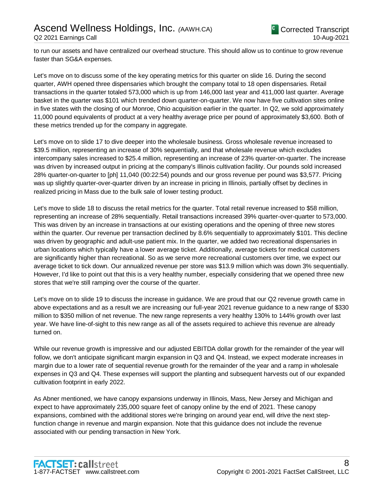to run our assets and have centralized our overhead structure. This should allow us to continue to grow revenue faster than SG&A expenses.

Let's move on to discuss some of the key operating metrics for this quarter on slide 16. During the second quarter, AWH opened three dispensaries which brought the company total to 18 open dispensaries. Retail transactions in the quarter totaled 573,000 which is up from 146,000 last year and 411,000 last quarter. Average basket in the quarter was \$101 which trended down quarter-on-quarter. We now have five cultivation sites online in five states with the closing of our Monroe, Ohio acquisition earlier in the quarter. In Q2, we sold approximately 11,000 pound equivalents of product at a very healthy average price per pound of approximately \$3,600. Both of these metrics trended up for the company in aggregate.

Let's move on to slide 17 to dive deeper into the wholesale business. Gross wholesale revenue increased to \$39.5 million, representing an increase of 30% sequentially, and that wholesale revenue which excludes intercompany sales increased to \$25.4 million, representing an increase of 23% quarter-on-quarter. The increase was driven by increased output in pricing at the company's Illinois cultivation facility. Our pounds sold increased 28% quarter-on-quarter to [ph] 11,040 (00:22:54) pounds and our gross revenue per pound was \$3,577. Pricing was up slightly quarter-over-quarter driven by an increase in pricing in Illinois, partially offset by declines in realized pricing in Mass due to the bulk sale of lower testing product.

Let's move to slide 18 to discuss the retail metrics for the quarter. Total retail revenue increased to \$58 million, representing an increase of 28% sequentially. Retail transactions increased 39% quarter-over-quarter to 573,000. This was driven by an increase in transactions at our existing operations and the opening of three new stores within the quarter. Our revenue per transaction declined by 8.6% sequentially to approximately \$101. This decline was driven by geographic and adult-use patient mix. In the quarter, we added two recreational dispensaries in urban locations which typically have a lower average ticket. Additionally, average tickets for medical customers are significantly higher than recreational. So as we serve more recreational customers over time, we expect our average ticket to tick down. Our annualized revenue per store was \$13.9 million which was down 3% sequentially. However, I'd like to point out that this is a very healthy number, especially considering that we opened three new stores that we're still ramping over the course of the quarter.

Let's move on to slide 19 to discuss the increase in guidance. We are proud that our Q2 revenue growth came in above expectations and as a result we are increasing our full-year 2021 revenue guidance to a new range of \$330 million to \$350 million of net revenue. The new range represents a very healthy 130% to 144% growth over last year. We have line-of-sight to this new range as all of the assets required to achieve this revenue are already turned on.

While our revenue growth is impressive and our adjusted EBITDA dollar growth for the remainder of the year will follow, we don't anticipate significant margin expansion in Q3 and Q4. Instead, we expect moderate increases in margin due to a lower rate of sequential revenue growth for the remainder of the year and a ramp in wholesale expenses in Q3 and Q4. These expenses will support the planting and subsequent harvests out of our expanded cultivation footprint in early 2022.

As Abner mentioned, we have canopy expansions underway in Illinois, Mass, New Jersey and Michigan and expect to have approximately 235,000 square feet of canopy online by the end of 2021. These canopy expansions, combined with the additional stores we're bringing on around year end, will drive the next stepfunction change in revenue and margin expansion. Note that this guidance does not include the revenue associated with our pending transaction in New York.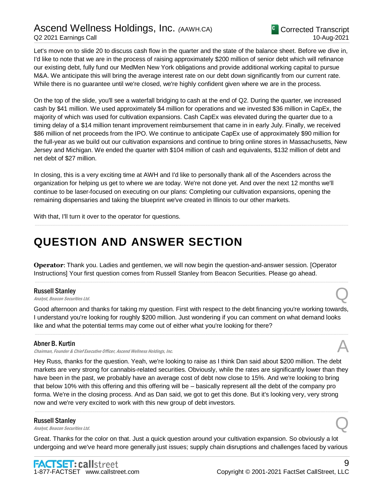

Let's move on to slide 20 to discuss cash flow in the quarter and the state of the balance sheet. Before we dive in, I'd like to note that we are in the process of raising approximately \$200 million of senior debt which will refinance our existing debt, fully fund our MedMen New York obligations and provide additional working capital to pursue M&A. We anticipate this will bring the average interest rate on our debt down significantly from our current rate. While there is no guarantee until we're closed, we're highly confident given where we are in the process.

On the top of the slide, you'll see a waterfall bridging to cash at the end of Q2. During the quarter, we increased cash by \$41 million. We used approximately \$4 million for operations and we invested \$36 million in CapEx, the majority of which was used for cultivation expansions. Cash CapEx was elevated during the quarter due to a timing delay of a \$14 million tenant improvement reimbursement that came in in early July. Finally, we received \$86 million of net proceeds from the IPO. We continue to anticipate CapEx use of approximately \$90 million for the full-year as we build out our cultivation expansions and continue to bring online stores in Massachusetts, New Jersey and Michigan. We ended the quarter with \$104 million of cash and equivalents, \$132 million of debt and net debt of \$27 million.

In closing, this is a very exciting time at AWH and I'd like to personally thank all of the Ascenders across the organization for helping us get to where we are today. We're not done yet. And over the next 12 months we'll continue to be laser-focused on executing on our plans: Completing our cultivation expansions, opening the remaining dispensaries and taking the blueprint we've created in Illinois to our other markets.

.....................................................................................................................................................................................................................................................................

With that, I'll turn it over to the operator for questions.

## **QUESTION AND ANSWER SECTION**

**Operator**: Thank you. Ladies and gentlemen, we will now begin the question-and-answer session. [Operator Instructions] Your first question comes from Russell Stanley from Beacon Securities. Please go ahead.

#### Russell Stanley

**Russell Stanley**<br>Analyst, Beacon Securities Ltd. Quarter and Containing the Containing Security of Containing the Containing Securities Ltd.

Good afternoon and thanks for taking my question. First with respect to the debt financing you're working towards, I understand you're looking for roughly \$200 million. Just wondering if you can comment on what demand looks like and what the potential terms may come out of either what you're looking for there?

.....................................................................................................................................................................................................................................................................

.....................................................................................................................................................................................................................................................................

#### Abner B. Kurtin

Chairman, Founder & Chief Executive Officer, Ascend Wellness Holdings, Inc.

Hey Russ, thanks for the question. Yeah, we're looking to raise as I think Dan said about \$200 million. The debt markets are very strong for cannabis-related securities. Obviously, while the rates are significantly lower than they have been in the past, we probably have an average cost of debt now close to 15%. And we're looking to bring that below 10% with this offering and this offering will be – basically represent all the debt of the company pro forma. We're in the closing process. And as Dan said, we got to get this done. But it's looking very, very strong now and we're very excited to work with this new group of debt investors.

.....................................................................................................................................................................................................................................................................

#### Russell Stanley

**Russell Stanley**<br>Analyst, Beacon Securities Ltd. Quarter and Containers and Containers and Containers and Containers and Containers

Great. Thanks for the color on that. Just a quick question around your cultivation expansion. So obviously a lot undergoing and we've heard more generally just issues; supply chain disruptions and challenges faced by various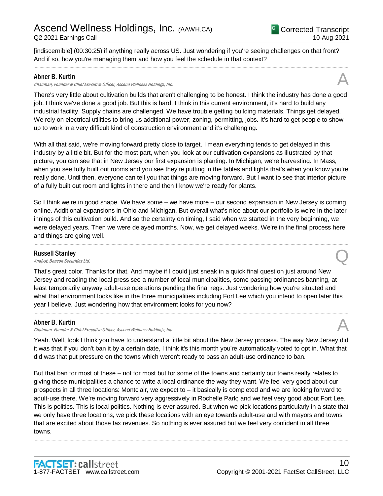[indiscernible] (00:30:25) if anything really across US. Just wondering if you're seeing challenges on that front? And if so, how you're managing them and how you feel the schedule in that context?

.....................................................................................................................................................................................................................................................................

#### Abner B. Kurtin

#### Chairman, Founder & Chief Executive Officer, Ascend Wellness Holdings, Inc.

There's very little about cultivation builds that aren't challenging to be honest. I think the industry has done a good job. I think we've done a good job. But this is hard. I think in this current environment, it's hard to build any industrial facility. Supply chains are challenged. We have trouble getting building materials. Things get delayed. We rely on electrical utilities to bring us additional power; zoning, permitting, jobs. It's hard to get people to show up to work in a very difficult kind of construction environment and it's challenging.

With all that said, we're moving forward pretty close to target. I mean everything tends to get delayed in this industry by a little bit. But for the most part, when you look at our cultivation expansions as illustrated by that picture, you can see that in New Jersey our first expansion is planting. In Michigan, we're harvesting. In Mass, when you see fully built out rooms and you see they're putting in the tables and lights that's when you know you're really done. Until then, everyone can tell you that things are moving forward. But I want to see that interior picture of a fully built out room and lights in there and then I know we're ready for plants.

So I think we're in good shape. We have some – we have more – our second expansion in New Jersey is coming online. Additional expansions in Ohio and Michigan. But overall what's nice about our portfolio is we're in the later innings of this cultivation build. And so the certainty on timing, I said when we started in the very beginning, we were delayed years. Then we were delayed months. Now, we get delayed weeks. We're in the final process here and things are going well.

.....................................................................................................................................................................................................................................................................

#### Russell Stanley

**Russell Stanley**<br>Analyst, Beacon Securities Ltd. Quarter and Containers and Containers and Containers and Containers and Containers

That's great color. Thanks for that. And maybe if I could just sneak in a quick final question just around New Jersey and reading the local press see a number of local municipalities, some passing ordinances banning, at least temporarily anyway adult-use operations pending the final regs. Just wondering how you're situated and what that environment looks like in the three municipalities including Fort Lee which you intend to open later this year I believe. Just wondering how that environment looks for you now?

#### Abner B. Kurtin

Chairman, Founder & Chief Executive Officer, Ascend Wellness Holdings, Inc. A

Yeah. Well, look I think you have to understand a little bit about the New Jersey process. The way New Jersey did it was that if you don't ban it by a certain date, I think it's this month you're automatically voted to opt in. What that did was that put pressure on the towns which weren't ready to pass an adult-use ordinance to ban.

.....................................................................................................................................................................................................................................................................

But that ban for most of these – not for most but for some of the towns and certainly our towns really relates to giving those municipalities a chance to write a local ordinance the way they want. We feel very good about our prospects in all three locations: Montclair, we expect to – it basically is completed and we are looking forward to adult-use there. We're moving forward very aggressively in Rochelle Park; and we feel very good about Fort Lee. This is politics. This is local politics. Nothing is ever assured. But when we pick locations particularly in a state that we only have three locations, we pick these locations with an eye towards adult-use and with mayors and towns that are excited about those tax revenues. So nothing is ever assured but we feel very confident in all three towns.

.....................................................................................................................................................................................................................................................................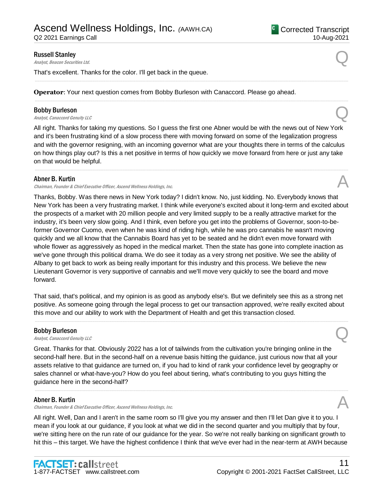Q2 2021 Earnings Call

#### <sup>C</sup> Corrected Transcript 10-Aug-2021

#### Russell Stanley

**Russell Stanley**<br>Analyst, Beacon Securities Ltd. Quarter and Containing the Containing Security of Containing the Containing Securities Ltd.

That's excellent. Thanks for the color. I'll get back in the queue.

**Operator**: Your next question comes from Bobby Burleson with Canaccord. Please go ahead.

#### Bobby Burleson

**Bobby Burleson**<br>Analyst, Canaccord Genuity LLC

All right. Thanks for taking my questions. So I guess the first one Abner would be with the news out of New York and it's been frustrating kind of a slow process there with moving forward on some of the legalization progress and with the governor resigning, with an incoming governor what are your thoughts there in terms of the calculus on how things play out? Is this a net positive in terms of how quickly we move forward from here or just any take on that would be helpful.

.....................................................................................................................................................................................................................................................................

.....................................................................................................................................................................................................................................................................

.....................................................................................................................................................................................................................................................................

#### Abner B. Kurtin

Chairman, Founder & Chief Executive Officer, Ascend Wellness Holdings, Inc.

Thanks, Bobby. Was there news in New York today? I didn't know. No, just kidding. No. Everybody knows that New York has been a very frustrating market. I think while everyone's excited about it long-term and excited about the prospects of a market with 20 million people and very limited supply to be a really attractive market for the industry, it's been very slow going. And I think, even before you get into the problems of Governor, soon-to-beformer Governor Cuomo, even when he was kind of riding high, while he was pro cannabis he wasn't moving quickly and we all know that the Cannabis Board has yet to be seated and he didn't even move forward with whole flower as aggressively as hoped in the medical market. Then the state has gone into complete inaction as we've gone through this political drama. We do see it today as a very strong net positive. We see the ability of Albany to get back to work as being really important for this industry and this process. We believe the new Lieutenant Governor is very supportive of cannabis and we'll move very quickly to see the board and move forward.

That said, that's political, and my opinion is as good as anybody else's. But we definitely see this as a strong net positive. As someone going through the legal process to get our transaction approved, we're really excited about this move and our ability to work with the Department of Health and get this transaction closed.

.....................................................................................................................................................................................................................................................................

#### Bobby Burleson

**Bobby Burleson**<br>Analyst, Canaccord Genuity LLC

Great. Thanks for that. Obviously 2022 has a lot of tailwinds from the cultivation you're bringing online in the second-half here. But in the second-half on a revenue basis hitting the guidance, just curious now that all your assets relative to that guidance are turned on, if you had to kind of rank your confidence level by geography or sales channel or what-have-you? How do you feel about tiering, what's contributing to you guys hitting the guidance here in the second-half?

#### Abner B. Kurtin

Chairman, Founder & Chief Executive Officer, Ascend Wellness Holdings, Inc.

All right. Well, Dan and I aren't in the same room so I'll give you my answer and then I'll let Dan give it to you. I mean if you look at our guidance, if you look at what we did in the second quarter and you multiply that by four, we're sitting here on the run rate of our guidance for the year. So we're not really banking on significant growth to hit this – this target. We have the highest confidence I think that we've ever had in the near-term at AWH because

.....................................................................................................................................................................................................................................................................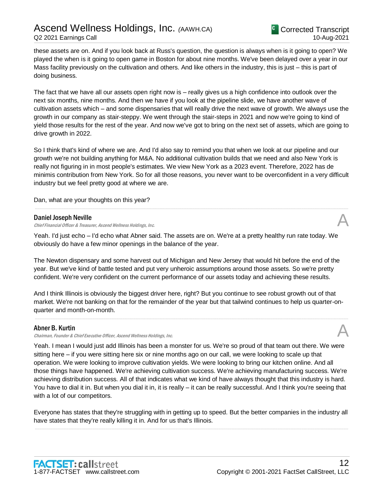these assets are on. And if you look back at Russ's question, the question is always when is it going to open? We played the when is it going to open game in Boston for about nine months. We've been delayed over a year in our Mass facility previously on the cultivation and others. And like others in the industry, this is just – this is part of doing business.

The fact that we have all our assets open right now is – really gives us a high confidence into outlook over the next six months, nine months. And then we have if you look at the pipeline slide, we have another wave of cultivation assets which – and some dispensaries that will really drive the next wave of growth. We always use the growth in our company as stair-steppy. We went through the stair-steps in 2021 and now we're going to kind of yield those results for the rest of the year. And now we've got to bring on the next set of assets, which are going to drive growth in 2022.

So I think that's kind of where we are. And I'd also say to remind you that when we look at our pipeline and our growth we're not building anything for M&A. No additional cultivation builds that we need and also New York is really not figuring in in most people's estimates. We view New York as a 2023 event. Therefore, 2022 has de minimis contribution from New York. So for all those reasons, you never want to be overconfident in a very difficult industry but we feel pretty good at where we are.

.....................................................................................................................................................................................................................................................................

Dan, what are your thoughts on this year?

#### Daniel Joseph Neville

Chief Financial Officer & Treasurer, Ascend Wellness Holdings, Inc.

Yeah. I'd just echo – I'd echo what Abner said. The assets are on. We're at a pretty healthy run rate today. We obviously do have a few minor openings in the balance of the year.

The Newton dispensary and some harvest out of Michigan and New Jersey that would hit before the end of the year. But we've kind of battle tested and put very unheroic assumptions around those assets. So we're pretty confident. We're very confident on the current performance of our assets today and achieving these results.

And I think Illinois is obviously the biggest driver here, right? But you continue to see robust growth out of that market. We're not banking on that for the remainder of the year but that tailwind continues to help us quarter-onquarter and month-on-month.

.....................................................................................................................................................................................................................................................................

#### Abner B. Kurtin

Chairman, Founder & Chief Executive Officer, Ascend Wellness Holdings, Inc.

Yeah. I mean I would just add Illinois has been a monster for us. We're so proud of that team out there. We were sitting here – if you were sitting here six or nine months ago on our call, we were looking to scale up that operation. We were looking to improve cultivation yields. We were looking to bring our kitchen online. And all those things have happened. We're achieving cultivation success. We're achieving manufacturing success. We're achieving distribution success. All of that indicates what we kind of have always thought that this industry is hard. You have to dial it in. But when you dial it in, it is really – it can be really successful. And I think you're seeing that with a lot of our competitors.

Everyone has states that they're struggling with in getting up to speed. But the better companies in the industry all have states that they're really killing it in. And for us that's Illinois. .....................................................................................................................................................................................................................................................................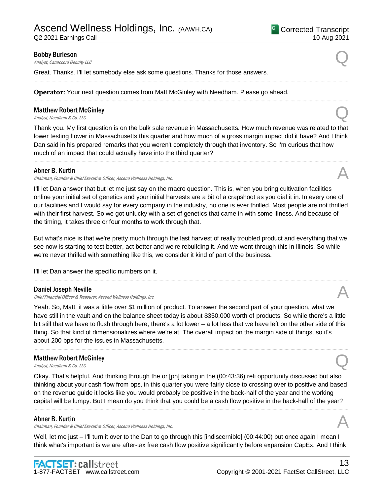## Ascend Wellness Holdings, Inc. *(*AAWH.CA)

Q2 2021 Earnings Call

#### <sup>C</sup> Corrected Transcript 10-Aug-2021

#### Bobby Burleson

**Bobby Burleson**<br>Analyst, Canaccord Genuity LLC

Great. Thanks. I'll let somebody else ask some questions. Thanks for those answers.

**Operator**: Your next question comes from Matt McGinley with Needham. Please go ahead.

#### Matthew Robert McGinley **Matthew Robert McGinley**<br>Analyst, Needham & Co. LLC

Thank you. My first question is on the bulk sale revenue in Massachusetts. How much revenue was related to that lower testing flower in Massachusetts this quarter and how much of a gross margin impact did it have? And I think Dan said in his prepared remarks that you weren't completely through that inventory. So I'm curious that how much of an impact that could actually have into the third quarter?

.....................................................................................................................................................................................................................................................................

.....................................................................................................................................................................................................................................................................

.....................................................................................................................................................................................................................................................................

#### Abner B. Kurtin

Chairman, Founder & Chief Executive Officer, Ascend Wellness Holdings, Inc.

I'll let Dan answer that but let me just say on the macro question. This is, when you bring cultivation facilities online your initial set of genetics and your initial harvests are a bit of a crapshoot as you dial it in. In every one of our facilities and I would say for every company in the industry, no one is ever thrilled. Most people are not thrilled with their first harvest. So we got unlucky with a set of genetics that came in with some illness. And because of the timing, it takes three or four months to work through that.

But what's nice is that we're pretty much through the last harvest of really troubled product and everything that we see now is starting to test better, act better and we're rebuilding it. And we went through this in Illinois. So while we're never thrilled with something like this, we consider it kind of part of the business.

.....................................................................................................................................................................................................................................................................

I'll let Dan answer the specific numbers on it.

#### Daniel Joseph Neville

Chief Financial Officer & Treasurer, Ascend Wellness Holdings, Inc.

Yeah. So, Matt, it was a little over \$1 million of product. To answer the second part of your question, what we have still in the vault and on the balance sheet today is about \$350,000 worth of products. So while there's a little bit still that we have to flush through here, there's a lot lower – a lot less that we have left on the other side of this thing. So that kind of dimensionalizes where we're at. The overall impact on the margin side of things, so it's about 200 bps for the issues in Massachusetts.

.....................................................................................................................................................................................................................................................................

#### Matthew Robert McGinley **Matthew Robert McGinley**<br>Analyst, Needham & Co. LLC

Okay. That's helpful. And thinking through the or [ph] taking in the (00:43:36) refi opportunity discussed but also thinking about your cash flow from ops, in this quarter you were fairly close to crossing over to positive and based on the revenue guide it looks like you would probably be positive in the back-half of the year and the working capital will be lumpy. But I mean do you think that you could be a cash flow positive in the back-half of the year?

.....................................................................................................................................................................................................................................................................

#### Abner B. Kurtin

Chairman, Founder & Chief Executive Officer, Ascend Wellness Holdings, Inc. A

Well, let me just – I'll turn it over to the Dan to go through this [indiscernible] (00:44:00) but once again I mean I think what's important is we are after-tax free cash flow positive significantly before expansion CapEx. And I think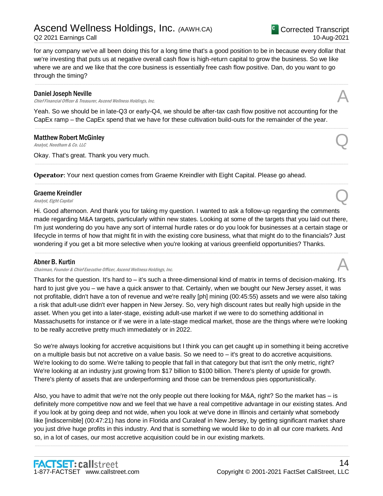# Ascend Wellness Holdings, Inc. *(*AAWH.CA)

for any company we've all been doing this for a long time that's a good position to be in because every dollar that we're investing that puts us at negative overall cash flow is high-return capital to grow the business. So we like where we are and we like that the core business is essentially free cash flow positive. Dan, do you want to go through the timing?

.....................................................................................................................................................................................................................................................................

#### Daniel Joseph Neville

Chief Financial Officer & Treasurer, Ascend Wellness Holdings, Inc.

Yeah. So we should be in late-Q3 or early-Q4, we should be after-tax cash flow positive not accounting for the CapEx ramp – the CapEx spend that we have for these cultivation build-outs for the remainder of the year.

.....................................................................................................................................................................................................................................................................

.....................................................................................................................................................................................................................................................................

.....................................................................................................................................................................................................................................................................

#### Matthew Robert McGinley **Matthew Robert McGinley**<br>Analyst, Needham & Co. LLC

Okay. That's great. Thank you very much.

**Operator**: Your next question comes from Graeme Kreindler with Eight Capital. Please go ahead.

#### Graeme Kreindler **Graeme Kreindler**<br>Analyst, Eight Capital Quarter of Capital Quarter of Capital Quarter of Capital Quarter of Capital Quarter of Capital Quarter of Capital Quarter of Capital Capital Quarter of Capital Capital Capital Cap

Hi. Good afternoon. And thank you for taking my question. I wanted to ask a follow-up regarding the comments made regarding M&A targets, particularly within new states. Looking at some of the targets that you laid out there, I'm just wondering do you have any sort of internal hurdle rates or do you look for businesses at a certain stage or lifecycle in terms of how that might fit in with the existing core business, what that might do to the financials? Just wondering if you get a bit more selective when you're looking at various greenfield opportunities? Thanks.

.....................................................................................................................................................................................................................................................................

#### Abner B. Kurtin

#### Chairman, Founder & Chief Executive Officer, Ascend Wellness Holdings, Inc. A

Thanks for the question. It's hard to – it's such a three-dimensional kind of matrix in terms of decision-making. It's hard to just give you – we have a quick answer to that. Certainly, when we bought our New Jersey asset, it was not profitable, didn't have a ton of revenue and we're really [ph] mining (00:45:55) assets and we were also taking a risk that adult-use didn't ever happen in New Jersey. So, very high discount rates but really high upside in the asset. When you get into a later-stage, existing adult-use market if we were to do something additional in Massachusetts for instance or if we were in a late-stage medical market, those are the things where we're looking to be really accretive pretty much immediately or in 2022.

So we're always looking for accretive acquisitions but I think you can get caught up in something it being accretive on a multiple basis but not accretive on a value basis. So we need to – it's great to do accretive acquisitions. We're looking to do some. We're talking to people that fall in that category but that isn't the only metric, right? We're looking at an industry just growing from \$17 billion to \$100 billion. There's plenty of upside for growth. There's plenty of assets that are underperforming and those can be tremendous pies opportunistically.

Also, you have to admit that we're not the only people out there looking for M&A, right? So the market has – is definitely more competitive now and we feel that we have a real competitive advantage in our existing states. And if you look at by going deep and not wide, when you look at we've done in Illinois and certainly what somebody like [indiscernible] (00:47:21) has done in Florida and Curaleaf in New Jersey, by getting significant market share you just drive huge profits in this industry. And that is something we would like to do in all our core markets. And so, in a lot of cases, our most accretive acquisition could be in our existing markets.

.....................................................................................................................................................................................................................................................................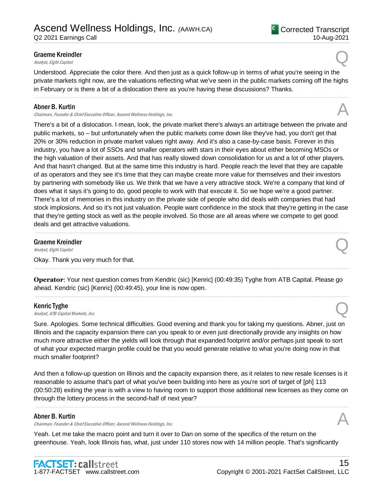Understood. Appreciate the color there. And then just as a quick follow-up in terms of what you're seeing in the private markets right now, are the valuations reflecting what we've seen in the public markets coming off the highs in February or is there a bit of a dislocation there as you're having these discussions? Thanks.

.....................................................................................................................................................................................................................................................................

#### Abner B. Kurtin

Chairman, Founder & Chief Executive Officer, Ascend Wellness Holdings, Inc.

There's a bit of a dislocation. I mean, look, the private market there's always an arbitrage between the private and public markets, so – but unfortunately when the public markets come down like they've had, you don't get that 20% or 30% reduction in private market values right away. And it's also a case-by-case basis. Forever in this industry, you have a lot of SSOs and smaller operators with stars in their eyes about either becoming MSOs or the high valuation of their assets. And that has really slowed down consolidation for us and a lot of other players. And that hasn't changed. But at the same time this industry is hard. People reach the level that they are capable of as operators and they see it's time that they can maybe create more value for themselves and their investors by partnering with somebody like us. We think that we have a very attractive stock. We're a company that kind of does what it says it's going to do, good people to work with that execute it. So we hope we're a good partner. There's a lot of memories in this industry on the private side of people who did deals with companies that had stock implosions. And so it's not just valuation. People want confidence in the stock that they're getting in the case that they're getting stock as well as the people involved. So those are all areas where we compete to get good deals and get attractive valuations.

.....................................................................................................................................................................................................................................................................

#### Graeme Kreindler **Graeme Kreindler**<br>Analyst, Eight Capital Quarter of Capital Quarter of Capital Quarter of Capital Quarter of Capital Quarter of Capital Quarter of Capital Quarter of Capital Capital Quarter of Capital Capital Capital Cap

Okay. Thank you very much for that.

**Operator**: Your next question comes from Kendric (sic) [Kenric] (00:49:35) Tyghe from ATB Capital. Please go ahead. Kendric (sic) [Kenric] (00:49:45), your line is now open.

.....................................................................................................................................................................................................................................................................

.....................................................................................................................................................................................................................................................................

#### Kenric Tyghe

**Kenric Tyghe**<br>Analyst, ATB Capital Markets, Inc.  $\bigotimes$ 

Sure. Apologies. Some technical difficulties. Good evening and thank you for taking my questions. Abner, just on Illinois and the capacity expansion there can you speak to or even just directionally provide any insights on how much more attractive either the yields will look through that expanded footprint and/or perhaps just speak to sort of what your expected margin profile could be that you would generate relative to what you're doing now in that much smaller footprint?

And then a follow-up question on Illinois and the capacity expansion there, as it relates to new resale licenses is it reasonable to assume that's part of what you've been building into here as you're sort of target of [ph] 113 (00:50:28) exiting the year is with a view to having room to support those additional new licenses as they come on through the lottery process in the second-half of next year?

.....................................................................................................................................................................................................................................................................

#### Abner B. Kurtin

Chairman, Founder & Chief Executive Officer, Ascend Wellness Holdings, Inc.

Yeah. Let me take the macro point and turn it over to Dan on some of the specifics of the return on the greenhouse. Yeah, look Illinois has, what, just under 110 stores now with 14 million people. That's significantly





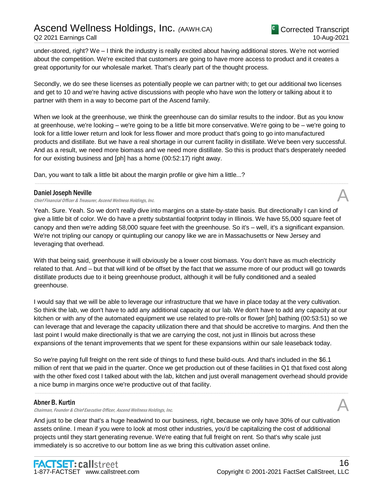under-stored, right? We – I think the industry is really excited about having additional stores. We're not worried about the competition. We're excited that customers are going to have more access to product and it creates a great opportunity for our wholesale market. That's clearly part of the thought process.

Secondly, we do see these licenses as potentially people we can partner with; to get our additional two licenses and get to 10 and we're having active discussions with people who have won the lottery or talking about it to partner with them in a way to become part of the Ascend family.

When we look at the greenhouse, we think the greenhouse can do similar results to the indoor. But as you know at greenhouse, we're looking – we're going to be a little bit more conservative. We're going to be – we're going to look for a little lower return and look for less flower and more product that's going to go into manufactured products and distillate. But we have a real shortage in our current facility in distillate. We've been very successful. And as a result, we need more biomass and we need more distillate. So this is product that's desperately needed for our existing business and [ph] has a home (00:52:17) right away.

.....................................................................................................................................................................................................................................................................

Dan, you want to talk a little bit about the margin profile or give him a little...?

#### Daniel Joseph Neville

Chief Financial Officer & Treasurer, Ascend Wellness Holdings, Inc.

Yeah. Sure. Yeah. So we don't really dive into margins on a state-by-state basis. But directionally I can kind of give a little bit of color. We do have a pretty substantial footprint today in Illinois. We have 55,000 square feet of canopy and then we're adding 58,000 square feet with the greenhouse. So it's – well, it's a significant expansion. We're not tripling our canopy or quintupling our canopy like we are in Massachusetts or New Jersey and leveraging that overhead.

With that being said, greenhouse it will obviously be a lower cost biomass. You don't have as much electricity related to that. And – but that will kind of be offset by the fact that we assume more of our product will go towards distillate products due to it being greenhouse product, although it will be fully conditioned and a sealed greenhouse.

I would say that we will be able to leverage our infrastructure that we have in place today at the very cultivation. So think the lab, we don't have to add any additional capacity at our lab. We don't have to add any capacity at our kitchen or with any of the automated equipment we use related to pre-rolls or flower [ph] bathing (00:53:51) so we can leverage that and leverage the capacity utilization there and that should be accretive to margins. And then the last point I would make directionally is that we are carrying the cost, not just in Illinois but across these expansions of the tenant improvements that we spent for these expansions within our sale leaseback today.

So we're paying full freight on the rent side of things to fund these build-outs. And that's included in the \$6.1 million of rent that we paid in the quarter. Once we get production out of these facilities in Q1 that fixed cost along with the other fixed cost I talked about with the lab, kitchen and just overall management overhead should provide a nice bump in margins once we're productive out of that facility.

.....................................................................................................................................................................................................................................................................

#### Abner B. Kurtin

Chairman, Founder & Chief Executive Officer, Ascend Wellness Holdings, Inc.

And just to be clear that's a huge headwind to our business, right, because we only have 30% of our cultivation assets online. I mean if you were to look at most other industries, you'd be capitalizing the cost of additional projects until they start generating revenue. We're eating that full freight on rent. So that's why scale just immediately is so accretive to our bottom line as we bring this cultivation asset online.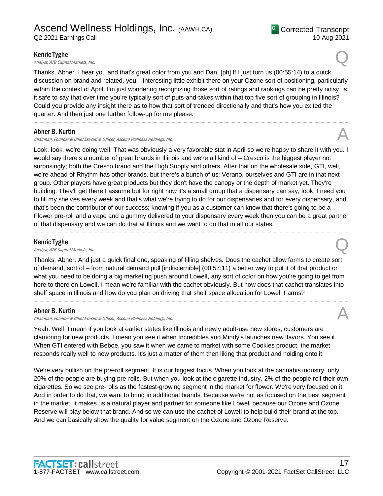#### Kenric Tyghe

**Kenric Tyghe**<br>Analyst, ATB Capital Markets, Inc.  $\bigotimes$ 

Thanks, Abner. I hear you and that's great color from you and Dan. [ph] If I just turn us (00:55:14) to a quick discussion on brand and related, you – interesting little exhibit there on your Ozone sort of positioning, particularly within the context of April. I'm just wondering recognizing those sort of ratings and rankings can be pretty noisy, is it safe to say that over time you're typically sort of puts-and-takes within that top five sort of grouping in Illinois? Could you provide any insight there as to how that sort of trended directionally and that's how you exited the quarter. And then just one further follow-up for me please.

.....................................................................................................................................................................................................................................................................

#### Abner B. Kurtin

Chairman, Founder & Chief Executive Officer, Ascend Wellness Holdings, Inc.

Look, look, we're doing well. That was obviously a very favorable stat in April so we're happy to share it with you. I would say there's a number of great brands in Illinois and we're all kind of – Cresco is the biggest player not surprisingly; both the Cresco brand and the High Supply and others. After that on the wholesale side, GTI, well, we're ahead of Rhythm has other brands, but there's a bunch of us: Verano, ourselves and GTI are in that next group. Other players have great products but they don't have the canopy or the depth of market yet. They're building. They'll get there I assume but for right now it's a small group that a dispensary can say, look, I need you to fill my shelves every week and that's what we're trying to do for our dispensaries and for every dispensary, and that's been the contributor of our success; knowing if you as a customer can know that there's going to be a Flower pre-roll and a vape and a gummy delivered to your dispensary every week then you can be a great partner of that dispensary and we can do that at Illinois and we want to do that in all our states.

.....................................................................................................................................................................................................................................................................

#### Kenric Tyghe

**Kenric Tyghe**<br>Analyst, ATB Capital Markets, Inc.  $\bigotimes$ 

Thanks, Abner. And just a quick final one, speaking of filling shelves. Does the cachet allow farms to create sort of demand, sort of – from natural demand pull [indiscernible] (00:57:11) a better way to put it of that product or what you need to be doing a big marketing push around Lowell, any sort of color on how you're going to get from here to there on Lowell. I mean we're familiar with the cachet obviously. But how does that cachet translates into shelf space in Illinois and how do you plan on driving that shelf space allocation for Lowell Farms?

.....................................................................................................................................................................................................................................................................

#### Abner B. Kurtin

Chairman, Founder & Chief Executive Officer, Ascend Wellness Holdings, Inc. A

Yeah. Well, I mean if you look at earlier states like Illinois and newly adult-use new stores, customers are clamoring for new products. I mean you see it when Incredibles and Mindy's launches new flavors. You see it. When GTI entered with Beboe, you saw it when we came to market with some Cookies product, the market responds really well to new products. It's just a matter of them then liking that product and holding onto it.

We're very bullish on the pre-roll segment. It is our biggest focus. When you look at the cannabis industry, only 20% of the people are buying pre-rolls. But when you look at the cigarette industry, 2% of the people roll their own cigarettes. So we see pre-rolls as the fastest-growing segment in the market for flower. We're very focused on it. And in order to do that, we want to bring in additional brands. Because we're not as focused on the best segment in the market, it makes us a natural player and partner for someone like Lowell because our Ozone and Ozone Reserve will play below that brand. And so we can use the cachet of Lowell to help build their brand at the top. And we can basically show the quality for value segment on the Ozone and Ozone Reserve.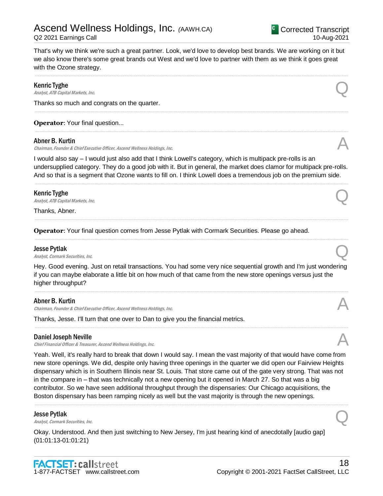

That's why we think we're such a great partner. Look, we'd love to develop best brands. We are working on it but we also know there's some great brands out West and we'd love to partner with them as we think it goes great with the Ozone strategy.

.....................................................................................................................................................................................................................................................................

.....................................................................................................................................................................................................................................................................

.....................................................................................................................................................................................................................................................................

#### Kenric Tyghe

**Kenric Tyghe**<br>Analyst, ATB Capital Markets, Inc.  $\bigotimes$ 

Thanks so much and congrats on the quarter.

**Operator: Your final question...** 

#### Abner B. Kurtin

Chairman, Founder & Chief Executive Officer, Ascend Wellness Holdings, Inc.

I would also say – I would just also add that I think Lowell's category, which is multipack pre-rolls is an undersupplied category. They do a good job with it. But in general, the market does clamor for multipack pre-rolls. And so that is a segment that Ozone wants to fill on. I think Lowell does a tremendous job on the premium side.

.....................................................................................................................................................................................................................................................................

.....................................................................................................................................................................................................................................................................

.....................................................................................................................................................................................................................................................................

#### Kenric Tyghe

**Kenric Tyghe**<br>Analyst, ATB Capital Markets, Inc.  $\bigotimes$ 

Thanks, Abner.

**Operator**: Your final question comes from Jesse Pytlak with Cormark Securities. Please go ahead.

#### Jesse Pytlak

**Jesse Pytlak**<br>Analyst, Cormark Securities, Inc.  $\bigotimes$ 

Hey. Good evening. Just on retail transactions. You had some very nice sequential growth and I'm just wondering if you can maybe elaborate a little bit on how much of that came from the new store openings versus just the higher throughput?

.....................................................................................................................................................................................................................................................................

.....................................................................................................................................................................................................................................................................

#### Abner B. Kurtin

Chairman, Founder & Chief Executive Officer, Ascend Wellness Holdings, Inc.

Thanks, Jesse. I'll turn that one over to Dan to give you the financial metrics.

#### Daniel Joseph Neville

Chief Financial Officer & Treasurer, Ascend Wellness Holdings, Inc.

Yeah. Well, it's really hard to break that down I would say. I mean the vast majority of that would have come from new store openings. We did, despite only having three openings in the quarter we did open our Fairview Heights dispensary which is in Southern Illinois near St. Louis. That store came out of the gate very strong. That was not in the compare in – that was technically not a new opening but it opened in March 27. So that was a big contributor. So we have seen additional throughput through the dispensaries: Our Chicago acquisitions, the Boston dispensary has been ramping nicely as well but the vast majority is through the new openings.

.....................................................................................................................................................................................................................................................................

#### Jesse Pytlak

**Jesse Pytlak**<br>Analyst, Cormark Securities, Inc.  $\bigotimes$ 

Okay. Understood. And then just switching to New Jersey, I'm just hearing kind of anecdotally [audio gap] (01:01:13-01:01:21)